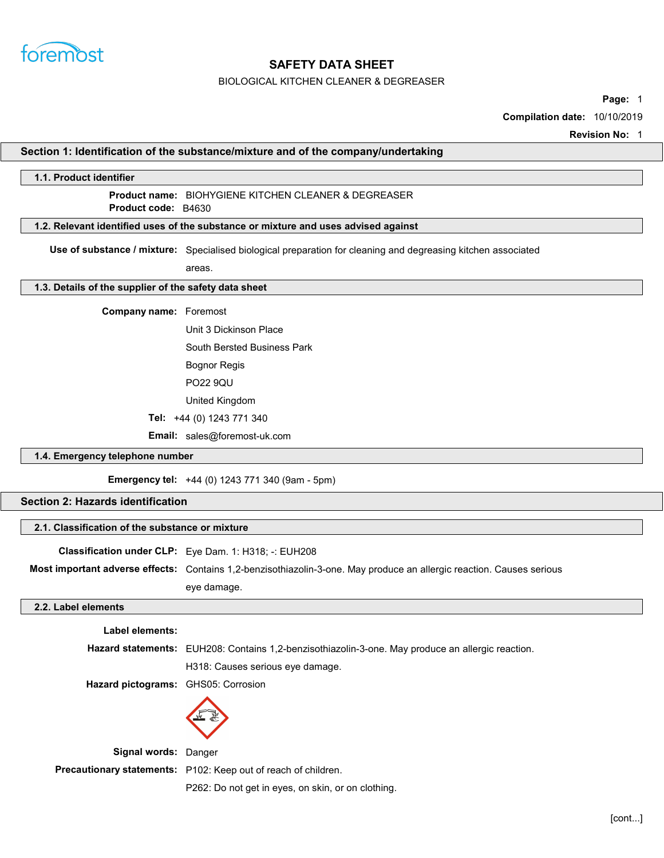

#### BIOLOGICAL KITCHEN CLEANER & DEGREASER

Page: 1

Compilation date: 10/10/2019

Revision No: 1

#### Section 1: Identification of the substance/mixture and of the company/undertaking

# 1.1. Product identifier Product name: BIOHYGIENE KITCHEN CLEANER & DEGREASER 1.2. Relevant identified uses of the substance or mixture and uses advised against Use of substance / mixture: Specialised biological preparation for cleaning and degreasing kitchen associated areas. 1.3. Details of the supplier of the safety data sheet Company name: Foremost Product **code**: B4630

Unit 3 Dickinson Place

South Bersted Business Park

Bognor Regis

PO22 9QU

United Kingdom

Tel: +44 (0) 1243 771 340

Email: sales@foremost-uk.com

#### 1.4. Emergency telephone number

Emergency tel: +44 (0) 1243 771 340 (9am - 5pm)

### Section 2: Hazards identification

### 2.1. Classification of the substance or mixture

Classification under CLP: Eye Dam. 1: H318; -: EUH208 Most important adverse effects: Contains 1,2-benzisothiazolin-3-one. May produce an allergic reaction. Causes serious eye damage.

#### 2.2. Label elements

| Label elements:                     |                                                                                                          |
|-------------------------------------|----------------------------------------------------------------------------------------------------------|
|                                     | <b>Hazard statements:</b> EUH208: Contains 1,2-benzisothiazolin-3-one. May produce an allergic reaction. |
|                                     | H318: Causes serious eye damage.                                                                         |
| Hazard pictograms: GHS05: Corrosion |                                                                                                          |
|                                     |                                                                                                          |

Signal words: Danger

Precautionary statements: P102: Keep out of reach of children.

P262: Do not get in eyes, on skin, or on clothing.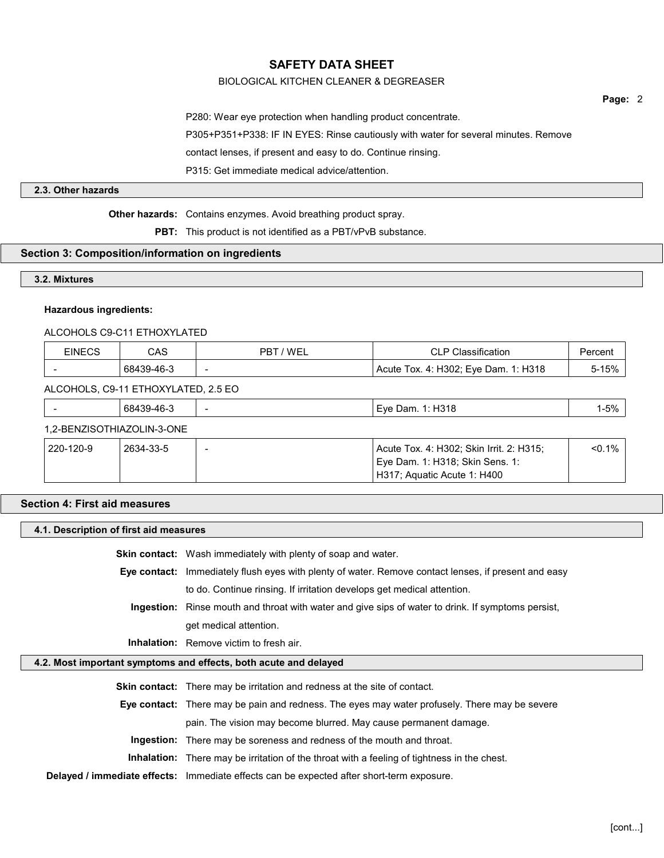### BIOLOGICAL KITCHEN CLEANER & DEGREASER

Page: 2

P280: Wear eye protection when handling product concentrate. P305+P351+P338: IF IN EYES: Rinse cautiously with water for several minutes. Remove contact lenses, if present and easy to do. Continue rinsing. P315: Get immediate medical advice/attention.

### 2.3. Other hazards

Other hazards: Contains enzymes. Avoid breathing product spray.

PBT: This product is not identified as a PBT/vPvB substance.

### Section 3: Composition/information on ingredients

### 3.2. Mixtures

### Hazardous ingredients:

### ALCOHOLS C9-C11 ETHOXYLATED

| <b>EINECS</b> | <b>CAS</b>                          | PBT / WEL                            | <b>CLP Classification</b>                                                                                  | Percent   |
|---------------|-------------------------------------|--------------------------------------|------------------------------------------------------------------------------------------------------------|-----------|
|               | 68439-46-3                          | Acute Tox. 4: H302; Eye Dam. 1: H318 |                                                                                                            | 5-15%     |
|               | ALCOHOLS, C9-11 ETHOXYLATED, 2.5 EO |                                      |                                                                                                            |           |
|               | 68439-46-3                          |                                      | Eye Dam. 1: H318                                                                                           | $1 - 5%$  |
|               | 1,2-BENZISOTHIAZOLIN-3-ONE          |                                      |                                                                                                            |           |
| 220-120-9     | 2634-33-5                           |                                      | Acute Tox. 4: H302; Skin Irrit. 2: H315;<br>Eye Dam. 1: H318; Skin Sens. 1:<br>H317; Aquatic Acute 1: H400 | $< 0.1\%$ |

### Section 4: First aid measures

| 4.1. Description of first aid measures |                                                                                                           |  |
|----------------------------------------|-----------------------------------------------------------------------------------------------------------|--|
|                                        | <b>Skin contact:</b> Wash immediately with plenty of soap and water.                                      |  |
|                                        | Eye contact: Immediately flush eyes with plenty of water. Remove contact lenses, if present and easy      |  |
|                                        | to do. Continue rinsing. If irritation develops get medical attention.                                    |  |
|                                        | <b>Ingestion:</b> Rinse mouth and throat with water and give sips of water to drink. If symptoms persist, |  |
|                                        | get medical attention.                                                                                    |  |
|                                        | <b>Inhalation:</b> Remove victim to fresh air.                                                            |  |
|                                        | 4.2. Most important symptoms and effects, both acute and delayed                                          |  |
|                                        | <b>Skin contact:</b> There may be irritation and redness at the site of contact.                          |  |
|                                        | <b>Eye contact:</b> There may be pain and redness. The eyes may water profusely. There may be severe      |  |
|                                        | pain. The vision may become blurred. May cause permanent damage.                                          |  |
|                                        | <b>Ingestion:</b> There may be soreness and redness of the mouth and throat.                              |  |
|                                        | <b>Inhalation:</b> There may be irritation of the throat with a feeling of tightness in the chest.        |  |
|                                        | Delayed / immediate effects: Immediate effects can be expected after short-term exposure.                 |  |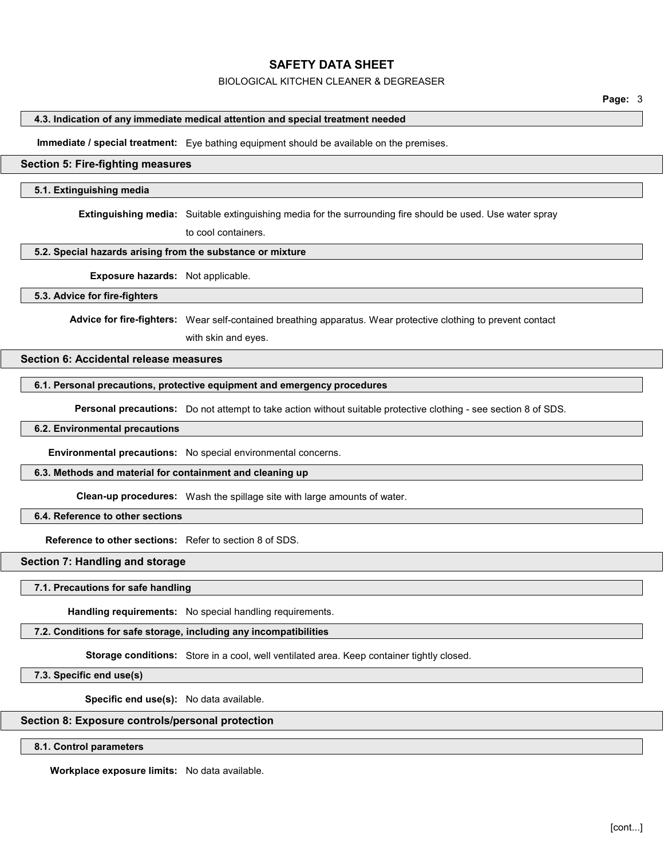#### BIOLOGICAL KITCHEN CLEANER & DEGREASER

### 4.3. Indication of any immediate medical attention and special treatment needed

Immediate / special treatment: Eye bathing equipment should be available on the premises.

### Section 5: Fire-fighting measures

### 5.1. Extinguishing media

Extinguishing media: Suitable extinguishing media for the surrounding fire should be used. Use water spray

to cool containers.

### 5.2. Special hazards arising from the substance or mixture

Exposure hazards: Not applicable.

### 5.3. Advice for fire-fighters

Advice for fire-fighters: Wear self-contained breathing apparatus. Wear protective clothing to prevent contact

with skin and eyes.

# Section 6: Accidental release measures

### 6.1. Personal precautions, protective equipment and emergency procedures

Personal precautions: Do not attempt to take action without suitable protective clothing - see section 8 of SDS.

### 6.2. Environmental precautions

Environmental precautions: No special environmental concerns.

### 6.3. Methods and material for containment and cleaning up

Clean-up procedures: Wash the spillage site with large amounts of water.

## 6.4. Reference to other sections

Reference to other sections: Refer to section 8 of SDS.

### Section 7: Handling and storage

7.1. Precautions for safe handling

Handling requirements: No special handling requirements.

### 7.2. Conditions for safe storage, including any incompatibilities

Storage conditions: Store in a cool, well ventilated area. Keep container tightly closed.

7.3. Specific end use(s)

Specific end use(s): No data available.

# Section 8: Exposure controls/personal protection

8.1. Control parameters

Workplace exposure limits: No data available.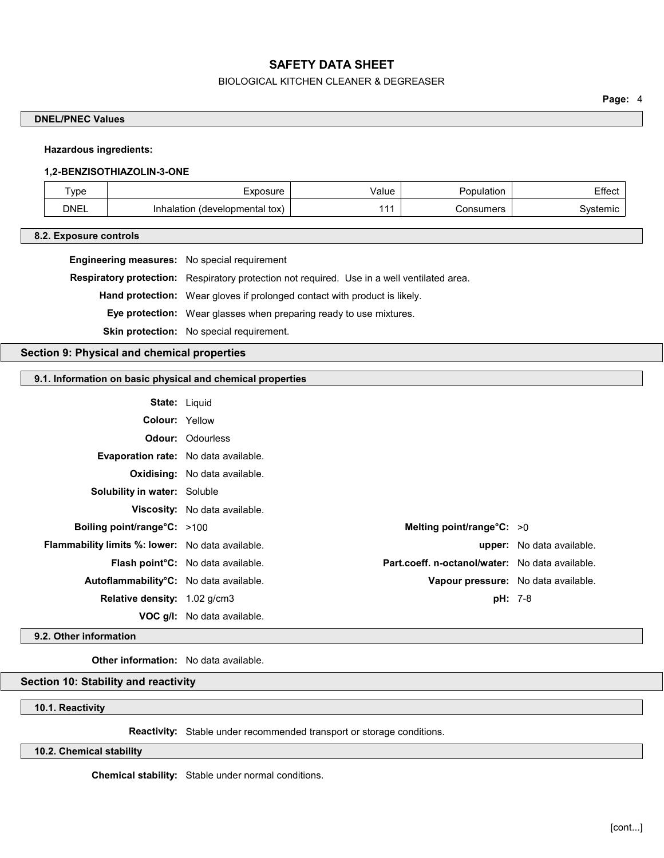### BIOLOGICAL KITCHEN CLEANER & DEGREASER

Page: 4

### DNEL/PNEC Values

### Hazardous ingredients:

#### 1,2-BENZISOTHIAZOLIN-3-ONE

| $\tau_{\text{ype}}$ | -xposure                               | ∀alue | Population | ------ |
|---------------------|----------------------------------------|-------|------------|--------|
| <b>DNEL</b>         | ' tox)<br>(developmental<br>Inhalation |       | Consumers  | stemic |

#### 8.2. Exposure controls

| <b>Engineering measures:</b> No special requirement |  |
|-----------------------------------------------------|--|
|-----------------------------------------------------|--|

Respiratory protection: Respiratory protection not required. Use in a well ventilated area.

Hand protection: Wear gloves if prolonged contact with product is likely.

Eye protection: Wear glasses when preparing ready to use mixtures.

Skin protection: No special requirement.

### Section 9: Physical and chemical properties

### 9.1. Information on basic physical and chemical properties

| <b>State: Liquid</b>                                    |                                          |                             |                                                 |
|---------------------------------------------------------|------------------------------------------|-----------------------------|-------------------------------------------------|
| <b>Colour: Yellow</b>                                   |                                          |                             |                                                 |
|                                                         | <b>Odour:</b> Odourless                  |                             |                                                 |
| <b>Evaporation rate:</b> No data available.             |                                          |                             |                                                 |
|                                                         | <b>Oxidising:</b> No data available.     |                             |                                                 |
| <b>Solubility in water: Soluble</b>                     |                                          |                             |                                                 |
|                                                         | <b>Viscosity:</b> No data available.     |                             |                                                 |
| Boiling point/range $C: >100$                           |                                          | Melting point/range $C: >0$ |                                                 |
| <b>Flammability limits %: lower:</b> No data available. |                                          |                             | <b>upper:</b> No data available.                |
|                                                         | <b>Flash point C:</b> No data available. |                             | Part.coeff. n-octanol/water: No data available. |
| Autoflammability°C: No data available.                  |                                          |                             | Vapour pressure: No data available.             |
| Relative density: 1.02 g/cm3                            |                                          | $pH: 7-8$                   |                                                 |
|                                                         | <b>VOC g/l:</b> No data available.       |                             |                                                 |

#### 9.2. Other information

Other information: No data available.

### Section 10: Stability and reactivity

### 10.1. Reactivity

Reactivity: Stable under recommended transport or storage conditions.

10.2. Chemical stability

Chemical stability: Stable under normal conditions.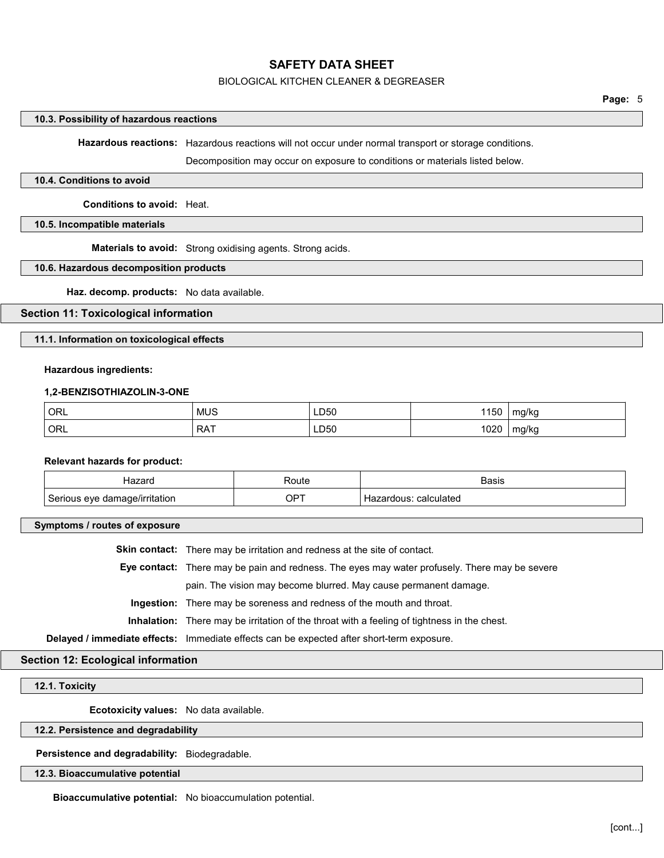### BIOLOGICAL KITCHEN CLEANER & DEGREASER

#### 10.3. Possibility of hazardous reactions

Hazardous reactions: Hazardous reactions will not occur under normal transport or storage conditions.

Decomposition may occur on exposure to conditions or materials listed below.

#### 10.4. Conditions to avoid

Conditions to avoid: Heat.

#### 10.5. Incompatible materials

Materials to avoid: Strong oxidising agents. Strong acids.

#### 10.6. Hazardous decomposition products

Haz. decomp. products: No data available.

#### Section 11: Toxicological information

11.1. Information on toxicological effects

#### Hazardous ingredients:

#### 1,2-BENZISOTHIAZOLIN-3-ONE

| ORL            | <b>MUS</b> | LD50<br>___ | 150 | mg/kg      |
|----------------|------------|-------------|-----|------------|
| $^{\circ}$ ORL | <b>RAT</b> | LD50        | 020 | mg/kg<br>້ |

#### Relevant hazards for product:

| ----                               | ⊰o⊔te       | Basis                 |
|------------------------------------|-------------|-----------------------|
| rıtatıon<br>eve<br>ua<br>aulique : | $OP^{\tau}$ | calculated<br>zaruous |

#### Symptoms / routes of exposure

Skin contact: There may be irritation and redness at the site of contact. Eye contact: There may be pain and redness. The eyes may water profusely. There may be severe pain. The vision may become blurred. May cause permanent damage. Ingestion: There may be soreness and redness of the mouth and throat. Inhalation: There may be irritation of the throat with a feeling of tightness in the chest. Delayed / immediate effects: Immediate effects can be expected after short-term exposure.

# Section 12: Ecological information

#### 12.1. Toxicity

Ecotoxicity values: No data available.

#### 12.2. Persistence and degradability

Persistence and degradability: Biodegradable.

#### 12.3. Bioaccumulative potential

Bioaccumulative potential: No bioaccumulation potential.